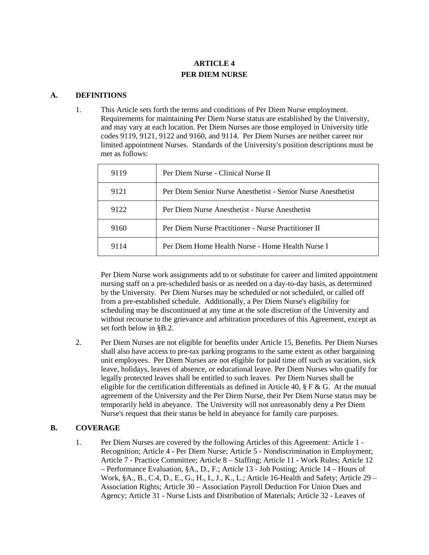# **ARTICLE 4 PER DIEM NURSE**

#### **A. DEFINITIONS**

1. This Article sets forth the terms and conditions of Per Diem Nurse employment. Requirements for maintaining Per Diem Nurse status are established by the University, and may vary at each location. Per Diem Nurses are those employed in University title codes 9119, 9121, 9122 and 9160, and 9114. Per Diem Nurses are neither career nor limited appointment Nurses. Standards of the University's position descriptions must be met as follows:

| 9119 | Per Diem Nurse - Clinical Nurse II                           |
|------|--------------------------------------------------------------|
| 9121 | Per Diem Senior Nurse Anesthetist - Senior Nurse Anesthetist |
| 9122 | Per Diem Nurse Anesthetist - Nurse Anesthetist               |
| 9160 | Per Diem Nurse Practitioner - Nurse Practitioner II          |
| 9114 | Per Diem Home Health Nurse - Home Health Nurse I             |

Per Diem Nurse work assignments add to or substitute for career and limited appointment nursing staff on a pre-scheduled basis or as needed on a day-to-day basis, as determined by the University. Per Diem Nurses may be scheduled or not scheduled, or called off from a pre-established schedule. Additionally, a Per Diem Nurse's eligibility for scheduling may be discontinued at any time at the sole discretion of the University and without recourse to the grievance and arbitration procedures of this Agreement, except as set forth below in §B.2.

2. Per Diem Nurses are not eligible for benefits under Article 15, Benefits. Per Diem Nurses shall also have access to pre-tax parking programs to the same extent as other bargaining unit employees. Per Diem Nurses are not eligible for paid time off such as vacation, sick leave, holidays, leaves of absence, or educational leave. Per Diem Nurses who qualify for legally protected leaves shall be entitled to such leaves. Per Diem Nurses shall be eligible for the certification differentials as defined in Article 40,  $\S$  F & G. At the mutual agreement of the University and the Per Diem Nurse, their Per Diem Nurse status may be temporarily held in abeyance. The University will not unreasonably deny a Per Diem Nurse's request that their status be held in abeyance for family care purposes.

# **B. COVERAGE**

1. Per Diem Nurses are covered by the following Articles of this Agreement: Article 1 - Recognition; Article 4 - Per Diem Nurse; Article 5 - Nondiscrimination in Employment; Article 7 - Practice Committee; Article 8 – Staffing; Article 11 - Work Rules; Article 12 – Performance Evaluation, §A., D., F.; Article 13 - Job Posting; Article 14 – Hours of Work, §A., B., C.4, D., E., G., H., I., J., K., L.; Article 16-Health and Safety; Article 29 – Association Rights; Article 30 – Association Payroll Deduction For Union Dues and Agency; Article 31 - Nurse Lists and Distribution of Materials; Article 32 - Leaves of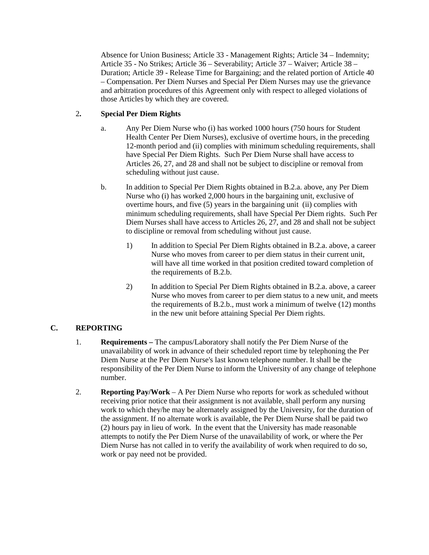Absence for Union Business; Article 33 - Management Rights; Article 34 – Indemnity; Article 35 - No Strikes; Article 36 – Severability; Article 37 – Waiver; Article 38 – Duration; Article 39 - Release Time for Bargaining; and the related portion of Article 40 – Compensation. Per Diem Nurses and Special Per Diem Nurses may use the grievance and arbitration procedures of this Agreement only with respect to alleged violations of those Articles by which they are covered.

# 2**. Special Per Diem Rights**

- a. Any Per Diem Nurse who (i) has worked 1000 hours (750 hours for Student Health Center Per Diem Nurses), exclusive of overtime hours, in the preceding 12-month period and (ii) complies with minimum scheduling requirements, shall have Special Per Diem Rights. Such Per Diem Nurse shall have access to Articles 26, 27, and 28 and shall not be subject to discipline or removal from scheduling without just cause.
- b. In addition to Special Per Diem Rights obtained in B.2.a. above, any Per Diem Nurse who (i) has worked 2,000 hours in the bargaining unit, exclusive of overtime hours, and five (5) years in the bargaining unit (ii) complies with minimum scheduling requirements, shall have Special Per Diem rights. Such Per Diem Nurses shall have access to Articles 26, 27, and 28 and shall not be subject to discipline or removal from scheduling without just cause.
	- 1) In addition to Special Per Diem Rights obtained in B.2.a. above, a career Nurse who moves from career to per diem status in their current unit, will have all time worked in that position credited toward completion of the requirements of B.2.b.
	- 2) In addition to Special Per Diem Rights obtained in B.2.a. above, a career Nurse who moves from career to per diem status to a new unit, and meets the requirements of B.2.b., must work a minimum of twelve (12) months in the new unit before attaining Special Per Diem rights.

# **C. REPORTING**

- 1. **Requirements –** The campus/Laboratory shall notify the Per Diem Nurse of the unavailability of work in advance of their scheduled report time by telephoning the Per Diem Nurse at the Per Diem Nurse's last known telephone number. It shall be the responsibility of the Per Diem Nurse to inform the University of any change of telephone number.
- 2. **Reporting Pay/Work** A Per Diem Nurse who reports for work as scheduled without receiving prior notice that their assignment is not available, shall perform any nursing work to which they/he may be alternately assigned by the University, for the duration of the assignment. If no alternate work is available, the Per Diem Nurse shall be paid two (2) hours pay in lieu of work. In the event that the University has made reasonable attempts to notify the Per Diem Nurse of the unavailability of work, or where the Per Diem Nurse has not called in to verify the availability of work when required to do so, work or pay need not be provided.